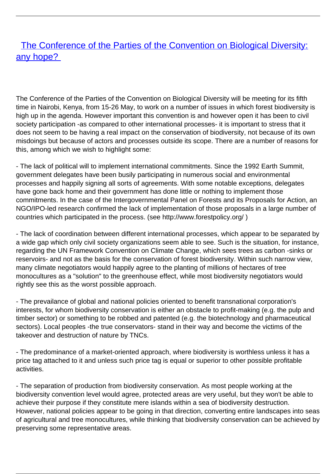## **[The Conference of the Parties of the Convention on Biological Diversity:](/bulletin-articles/the-conference-of-the-parties-of-the-convention-on-biological-diversity-any-hope)** [any hope?](/bulletin-articles/the-conference-of-the-parties-of-the-convention-on-biological-diversity-any-hope)

The Conference of the Parties of the Convention on Biological Diversity will be meeting for its fifth time in Nairobi, Kenya, from 15-26 May, to work on a number of issues in which forest biodiversity is high up in the agenda. However important this convention is and however open it has been to civil society participation -as compared to other international processes- it is important to stress that it does not seem to be having a real impact on the conservation of biodiversity, not because of its own misdoings but because of actors and processes outside its scope. There are a number of reasons for this, among which we wish to highlight some:

- The lack of political will to implement international commitments. Since the 1992 Earth Summit, government delegates have been busily participating in numerous social and environmental processes and happily signing all sorts of agreements. With some notable exceptions, delegates have gone back home and their government has done little or nothing to implement those commitments. In the case of the Intergovernmental Panel on Forests and its Proposals for Action, an NGO/IPO-led research confirmed the lack of implementation of those proposals in a large number of countries which participated in the process. (see http://www.forestpolicy.org/ )

- The lack of coordination between different international processes, which appear to be separated by a wide gap which only civil society organizations seem able to see. Such is the situation, for instance, regarding the UN Framework Convention on Climate Change, which sees trees as carbon -sinks or reservoirs- and not as the basis for the conservation of forest biodiversity. Within such narrow view, many climate negotiators would happily agree to the planting of millions of hectares of tree monocultures as a "solution" to the greenhouse effect, while most biodiversity negotiators would rightly see this as the worst possible approach.

- The prevailance of global and national policies oriented to benefit transnational corporation's interests, for whom biodiversity conservation is either an obstacle to profit-making (e.g. the pulp and timber sector) or something to be robbed and patented (e.g. the biotechnology and pharmaceutical sectors). Local peoples -the true conservators- stand in their way and become the victims of the takeover and destruction of nature by TNCs.

- The predominance of a market-oriented approach, where biodiversity is worthless unless it has a price tag attached to it and unless such price tag is equal or superior to other possible profitable activities.

- The separation of production from biodiversity conservation. As most people working at the biodiversity convention level would agree, protected areas are very useful, but they won't be able to achieve their purpose if they constitute mere islands within a sea of biodiversity destruction. However, national policies appear to be going in that direction, converting entire landscapes into seas of agricultural and tree monocultures, while thinking that biodiversity conservation can be achieved by preserving some representative areas.